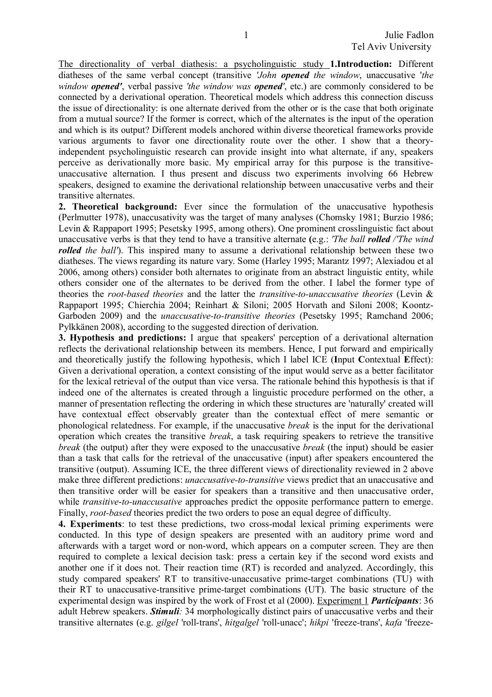The directionality of verbal diathesis: a psycholinguistic study **1.Introduction:** Different diatheses of the same verbal concept (transitive *'John opened the window*, unaccusative '*the window opened'*, verbal passive *'the window was opened'*, etc.) are commonly considered to be connected by a derivational operation. Theoretical models which address this connection discuss the issue of directionality: is one alternate derived from the other or is the case that both originate from a mutual source? If the former is correct, which of the alternates is the input of the operation and which is its output? Different models anchored within diverse theoretical frameworks provide various arguments to favor one directionality route over the other. I show that a theoryindependent psycholinguistic research can provide insight into what alternate, if any, speakers perceive as derivationally more basic. My empirical array for this purpose is the transitiveunaccusative alternation. I thus present and discuss two experiments involving 66 Hebrew speakers, designed to examine the derivational relationship between unaccusative verbs and their transitive alternates.

**2. Theoretical background:** Ever since the formulation of the unaccusative hypothesis (Perlmutter 1978), unaccusativity was the target of many analyses (Chomsky 1981; Burzio 1986; Levin & Rappaport 1995; Pesetsky 1995, among others). One prominent crosslinguistic fact about unaccusative verbs is that they tend to have a transitive alternate **(**e.g.: *'The ball rolled /'The wind rolled the ball'*). This inspired many to assume a derivational relationship between these two diatheses. The views regarding its nature vary. Some (Harley 1995; Marantz 1997; Alexiadou et al 2006, among others) consider both alternates to originate from an abstract linguistic entity, while others consider one of the alternates to be derived from the other. I label the former type of theories the *root-based theories* and the latter the *transitive-to-unaccusative theories* (Levin & Rappaport 1995; Chierchia 2004; Reinhart & Siloni; 2005 Horvath and Siloni 2008; Koontz-Garboden 2009) and the *unaccusative-to-transitive theories* (Pesetsky 1995; Ramchand 2006; Pylkkänen 2008), according to the suggested direction of derivation.

**3. Hypothesis and predictions:** I argue that speakers' perception of a derivational alternation reflects the derivational relationship between its members. Hence, I put forward and empirically and theoretically justify the following hypothesis, which I label ICE (**I**nput **C**ontextual **E**ffect): Given a derivational operation, a context consisting of the input would serve as a better facilitator for the lexical retrieval of the output than vice versa. The rationale behind this hypothesis is that if indeed one of the alternates is created through a linguistic procedure performed on the other, a manner of presentation reflecting the ordering in which these structures are 'naturally' created will have contextual effect observably greater than the contextual effect of mere semantic or phonological relatedness. For example, if the unaccusative *break* is the input for the derivational operation which creates the transitive *break*, a task requiring speakers to retrieve the transitive *break* (the output) after they were exposed to the unaccusative *break* (the input) should be easier than a task that calls for the retrieval of the unaccusative (input) after speakers encountered the transitive (output). Assuming ICE, the three different views of directionality reviewed in 2 above make three different predictions: *unaccusative-to-transitive* views predict that an unaccusative and then transitive order will be easier for speakers than a transitive and then unaccusative order, while *transitive*-*to-unaccusative* approaches predict the opposite performance pattern to emerge. Finally, *root-based* theories predict the two orders to pose an equal degree of difficulty.

**4. Experiments**: to test these predictions, two cross-modal lexical priming experiments were conducted. In this type of design speakers are presented with an auditory prime word and afterwards with a target word or non-word, which appears on a computer screen. They are then required to complete a lexical decision task: press a certain key if the second word exists and another one if it does not. Their reaction time (RT) is recorded and analyzed. Accordingly, this study compared speakers' RT to transitive-unaccusative prime-target combinations (TU) with their RT to unaccusative-transitive prime-target combinations (UT). The basic structure of the experimental design was inspired by the work of Frost et al (2000). Experiment 1 *Participants*: 36 adult Hebrew speakers. *Stimuli:* 34 morphologically distinct pairs of unaccusative verbs and their transitive alternates (e.g. *gilgel* 'roll-trans', *hitgalgel* 'roll-unacc'; *hikpi* 'freeze-trans', *kafa* 'freeze